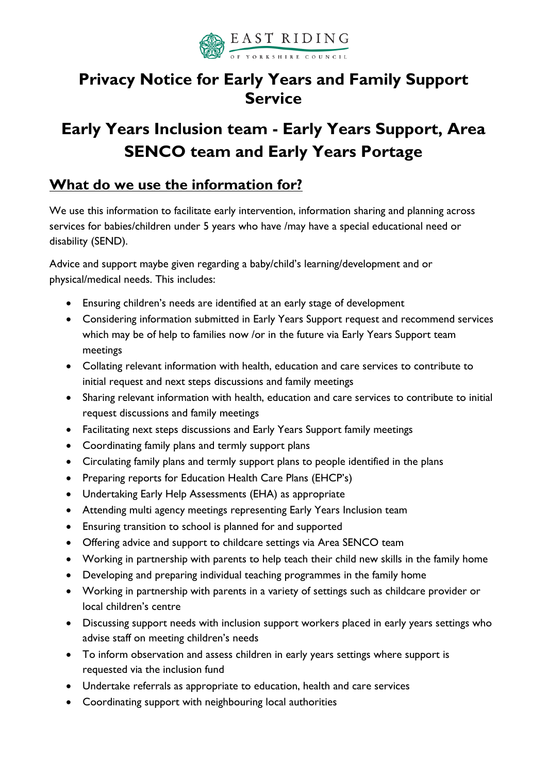

# **Privacy Notice for Early Years and Family Support Service**

# **Early Years Inclusion team - Early Years Support, Area SENCO team and Early Years Portage**

#### **What do we use the information for?**

We use this information to facilitate early intervention, information sharing and planning across services for babies/children under 5 years who have /may have a special educational need or disability (SEND).

Advice and support maybe given regarding a baby/child's learning/development and or physical/medical needs. This includes:

- Ensuring children's needs are identified at an early stage of development
- Considering information submitted in Early Years Support request and recommend services which may be of help to families now /or in the future via Early Years Support team meetings
- Collating relevant information with health, education and care services to contribute to initial request and next steps discussions and family meetings
- Sharing relevant information with health, education and care services to contribute to initial request discussions and family meetings
- Facilitating next steps discussions and Early Years Support family meetings
- Coordinating family plans and termly support plans
- Circulating family plans and termly support plans to people identified in the plans
- Preparing reports for Education Health Care Plans (EHCP's)
- Undertaking Early Help Assessments (EHA) as appropriate
- Attending multi agency meetings representing Early Years Inclusion team
- Ensuring transition to school is planned for and supported
- Offering advice and support to childcare settings via Area SENCO team
- Working in partnership with parents to help teach their child new skills in the family home
- Developing and preparing individual teaching programmes in the family home
- Working in partnership with parents in a variety of settings such as childcare provider or local children's centre
- Discussing support needs with inclusion support workers placed in early years settings who advise staff on meeting children's needs
- To inform observation and assess children in early years settings where support is requested via the inclusion fund
- Undertake referrals as appropriate to education, health and care services
- Coordinating support with neighbouring local authorities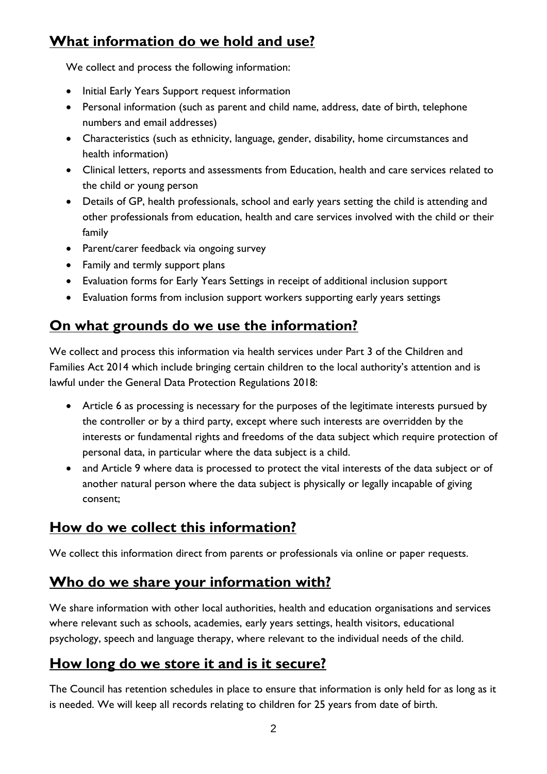## **What information do we hold and use?**

We collect and process the following information:

- Initial Early Years Support request information
- Personal information (such as parent and child name, address, date of birth, telephone numbers and email addresses)
- Characteristics (such as ethnicity, language, gender, disability, home circumstances and health information)
- Clinical letters, reports and assessments from Education, health and care services related to the child or young person
- Details of GP, health professionals, school and early years setting the child is attending and other professionals from education, health and care services involved with the child or their family
- Parent/carer feedback via ongoing survey
- Family and termly support plans
- Evaluation forms for Early Years Settings in receipt of additional inclusion support
- Evaluation forms from inclusion support workers supporting early years settings

#### **On what grounds do we use the information?**

We collect and process this information via health services under Part 3 of the Children and Families Act 2014 which include bringing certain children to the local authority's attention and is lawful under the General Data Protection Regulations 2018:

- Article 6 as processing is necessary for the purposes of the legitimate interests pursued by the controller or by a third party, except where such interests are overridden by the interests or fundamental rights and freedoms of the data subject which require protection of personal data, in particular where the data subject is a child.
- and Article 9 where data is processed to protect the vital interests of the data subject or of another natural person where the data subject is physically or legally incapable of giving consent;

#### **How do we collect this information?**

We collect this information direct from parents or professionals via online or paper requests.

#### **Who do we share your information with?**

We share information with other local authorities, health and education organisations and services where relevant such as schools, academies, early years settings, health visitors, educational psychology, speech and language therapy, where relevant to the individual needs of the child.

#### **How long do we store it and is it secure?**

The Council has retention schedules in place to ensure that information is only held for as long as it is needed. We will keep all records relating to children for 25 years from date of birth.